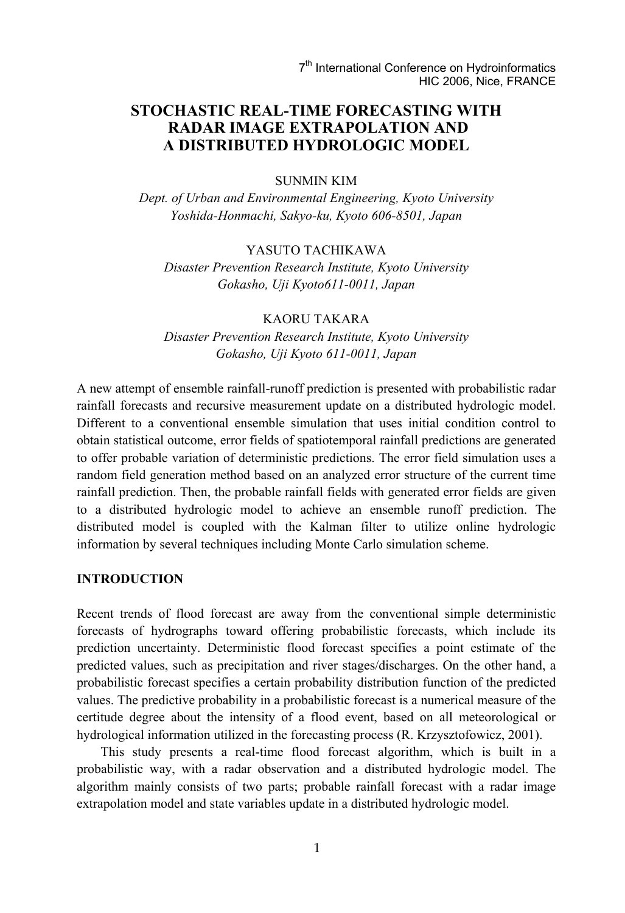# **STOCHASTIC REAL-TIME FORECASTING WITH RADAR IMAGE EXTRAPOLATION AND A DISTRIBUTED HYDROLOGIC MODEL**

#### SUNMIN KIM

*Dept. of Urban and Environmental Engineering, Kyoto University Yoshida-Honmachi, Sakyo-ku, Kyoto 606-8501, Japan* 

### YASUTO TACHIKAWA

*Disaster Prevention Research Institute, Kyoto University Gokasho, Uji Kyoto611-0011, Japan* 

## KAORU TAKARA

*Disaster Prevention Research Institute, Kyoto University Gokasho, Uji Kyoto 611-0011, Japan* 

A new attempt of ensemble rainfall-runoff prediction is presented with probabilistic radar rainfall forecasts and recursive measurement update on a distributed hydrologic model. Different to a conventional ensemble simulation that uses initial condition control to obtain statistical outcome, error fields of spatiotemporal rainfall predictions are generated to offer probable variation of deterministic predictions. The error field simulation uses a random field generation method based on an analyzed error structure of the current time rainfall prediction. Then, the probable rainfall fields with generated error fields are given to a distributed hydrologic model to achieve an ensemble runoff prediction. The distributed model is coupled with the Kalman filter to utilize online hydrologic information by several techniques including Monte Carlo simulation scheme.

#### **INTRODUCTION**

Recent trends of flood forecast are away from the conventional simple deterministic forecasts of hydrographs toward offering probabilistic forecasts, which include its prediction uncertainty. Deterministic flood forecast specifies a point estimate of the predicted values, such as precipitation and river stages/discharges. On the other hand, a probabilistic forecast specifies a certain probability distribution function of the predicted values. The predictive probability in a probabilistic forecast is a numerical measure of the certitude degree about the intensity of a flood event, based on all meteorological or hydrological information utilized in the forecasting process (R. Krzysztofowicz, 2001).

This study presents a real-time flood forecast algorithm, which is built in a probabilistic way, with a radar observation and a distributed hydrologic model. The algorithm mainly consists of two parts; probable rainfall forecast with a radar image extrapolation model and state variables update in a distributed hydrologic model.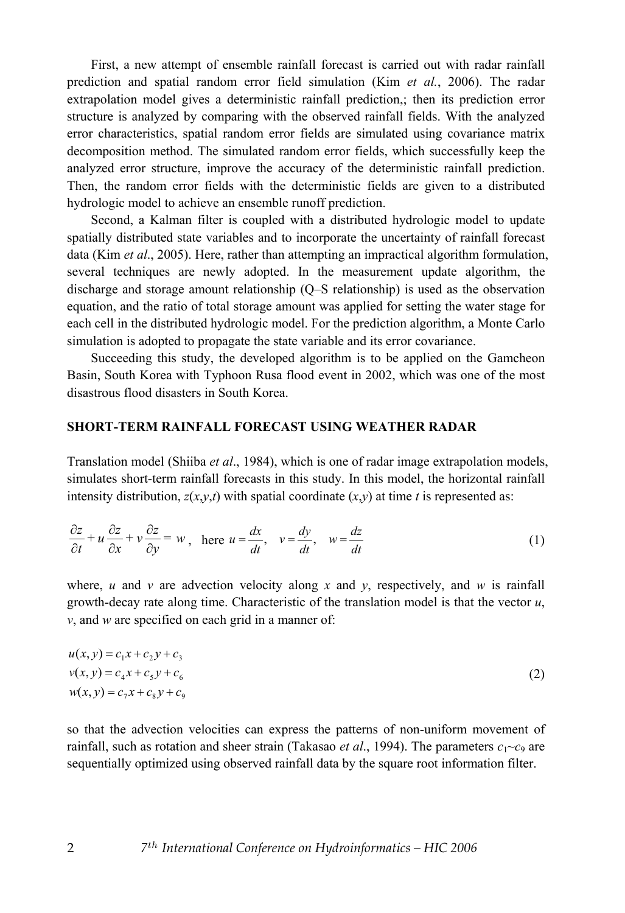First, a new attempt of ensemble rainfall forecast is carried out with radar rainfall prediction and spatial random error field simulation (Kim *et al.*, 2006). The radar extrapolation model gives a deterministic rainfall prediction,; then its prediction error structure is analyzed by comparing with the observed rainfall fields. With the analyzed error characteristics, spatial random error fields are simulated using covariance matrix decomposition method. The simulated random error fields, which successfully keep the analyzed error structure, improve the accuracy of the deterministic rainfall prediction. Then, the random error fields with the deterministic fields are given to a distributed hydrologic model to achieve an ensemble runoff prediction.

Second, a Kalman filter is coupled with a distributed hydrologic model to update spatially distributed state variables and to incorporate the uncertainty of rainfall forecast data (Kim *et al*., 2005). Here, rather than attempting an impractical algorithm formulation, several techniques are newly adopted. In the measurement update algorithm, the discharge and storage amount relationship (Q–S relationship) is used as the observation equation, and the ratio of total storage amount was applied for setting the water stage for each cell in the distributed hydrologic model. For the prediction algorithm, a Monte Carlo simulation is adopted to propagate the state variable and its error covariance.

Succeeding this study, the developed algorithm is to be applied on the Gamcheon Basin, South Korea with Typhoon Rusa flood event in 2002, which was one of the most disastrous flood disasters in South Korea.

#### **SHORT-TERM RAINFALL FORECAST USING WEATHER RADAR**

Translation model (Shiiba *et al*., 1984), which is one of radar image extrapolation models, simulates short-term rainfall forecasts in this study. In this model, the horizontal rainfall intensity distribution,  $z(x,y,t)$  with spatial coordinate  $(x,y)$  at time *t* is represented as:

$$
\frac{\partial z}{\partial t} + u \frac{\partial z}{\partial x} + v \frac{\partial z}{\partial y} = w, \text{ here } u = \frac{dx}{dt}, \quad v = \frac{dy}{dt}, \quad w = \frac{dz}{dt}
$$
 (1)

where, *u* and *v* are advection velocity along *x* and *y*, respectively, and *w* is rainfall growth-decay rate along time. Characteristic of the translation model is that the vector *u*, *v*, and *w* are specified on each grid in a manner of:

$$
u(x, y) = c_1 x + c_2 y + c_3
$$
  
\n
$$
v(x, y) = c_4 x + c_5 y + c_6
$$
  
\n
$$
w(x, y) = c_7 x + c_8 y + c_9
$$
\n(2)

so that the advection velocities can express the patterns of non-uniform movement of rainfall, such as rotation and sheer strain (Takasao *et al.*, 1994). The parameters  $c_1$ ~ $c_9$  are sequentially optimized using observed rainfall data by the square root information filter.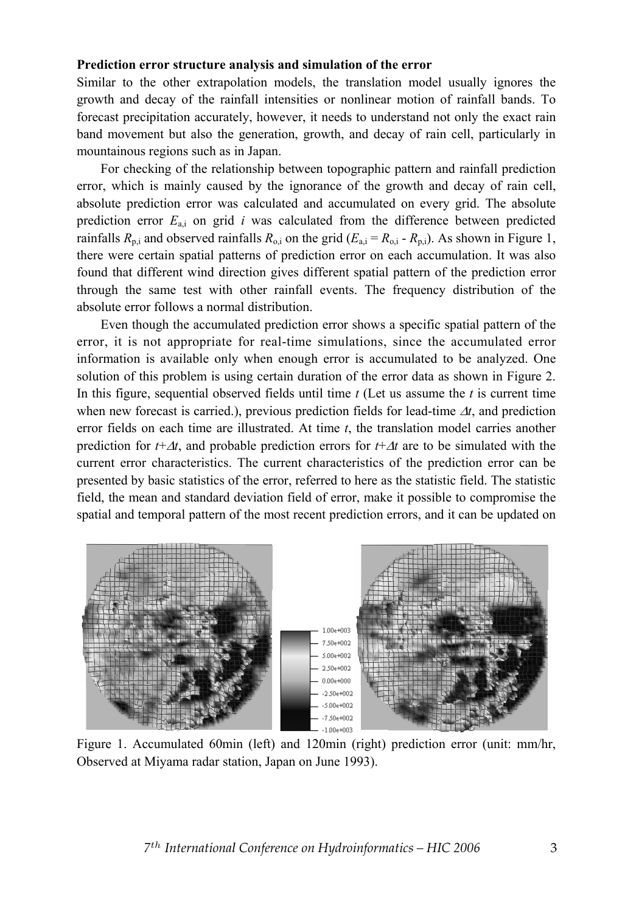#### **Prediction error structure analysis and simulation of the error**

Similar to the other extrapolation models, the translation model usually ignores the growth and decay of the rainfall intensities or nonlinear motion of rainfall bands. To forecast precipitation accurately, however, it needs to understand not only the exact rain band movement but also the generation, growth, and decay of rain cell, particularly in mountainous regions such as in Japan.

For checking of the relationship between topographic pattern and rainfall prediction error, which is mainly caused by the ignorance of the growth and decay of rain cell, absolute prediction error was calculated and accumulated on every grid. The absolute prediction error  $E_{a,i}$  on grid *i* was calculated from the difference between predicted rainfalls  $R_{p,i}$  and observed rainfalls  $R_{p,i}$  on the grid  $(E_{q,i} = R_{p,i} - R_{p,i})$ . As shown in Figure 1, there were certain spatial patterns of prediction error on each accumulation. It was also found that different wind direction gives different spatial pattern of the prediction error through the same test with other rainfall events. The frequency distribution of the absolute error follows a normal distribution.

Even though the accumulated prediction error shows a specific spatial pattern of the error, it is not appropriate for real-time simulations, since the accumulated error information is available only when enough error is accumulated to be analyzed. One solution of this problem is using certain duration of the error data as shown in Figure 2. In this figure, sequential observed fields until time *t* (Let us assume the *t* is current time when new forecast is carried.), previous prediction fields for lead-time  $\Delta t$ , and prediction error fields on each time are illustrated. At time *t*, the translation model carries another prediction for  $t+\Delta t$ , and probable prediction errors for  $t+\Delta t$  are to be simulated with the current error characteristics. The current characteristics of the prediction error can be presented by basic statistics of the error, referred to here as the statistic field. The statistic field, the mean and standard deviation field of error, make it possible to compromise the spatial and temporal pattern of the most recent prediction errors, and it can be updated on



Figure 1. Accumulated 60min (left) and 120min (right) prediction error (unit: mm/hr, Observed at Miyama radar station, Japan on June 1993).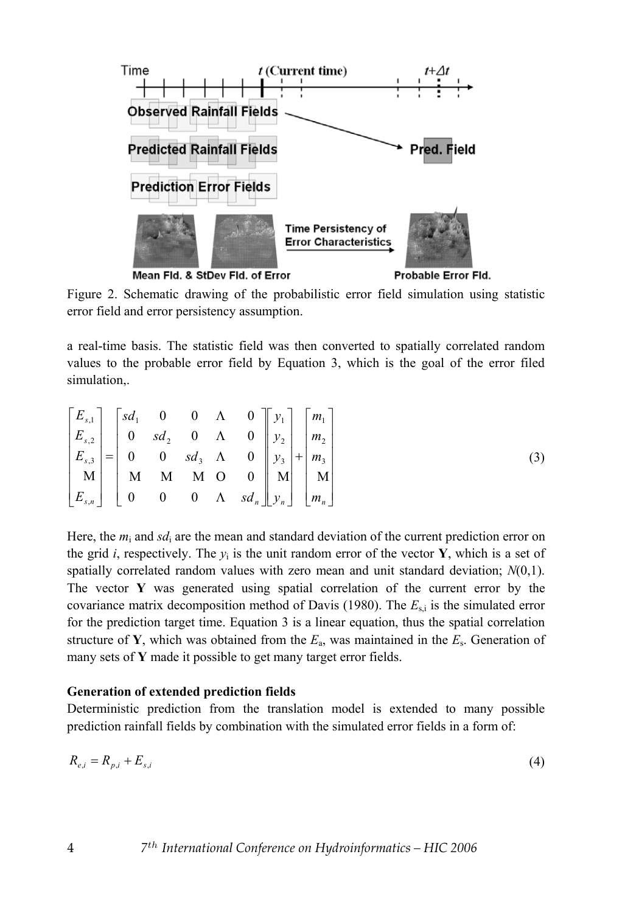

Mean Fld. & StDev Fld. of Error

Probable Error Fld.

Figure 2. Schematic drawing of the probabilistic error field simulation using statistic error field and error persistency assumption.

a real-time basis. The statistic field was then converted to spatially correlated random values to the probable error field by Equation 3, which is the goal of the error filed simulation,.

$$
\begin{bmatrix} E_{s,1} \\ E_{s,2} \\ E_{s,3} \\ M \\ E_{s,n} \end{bmatrix} = \begin{bmatrix} sd_1 & 0 & 0 & \Lambda & 0 \\ 0 & sd_2 & 0 & \Lambda & 0 \\ 0 & 0 & sd_3 & \Lambda & 0 \\ 0 & 0 & sd_3 & \Lambda & 0 \\ M & M & M & O & 0 \\ 0 & 0 & 0 & \Lambda & sd_n \end{bmatrix} \begin{bmatrix} y_1 \\ y_2 \\ y_3 \\ y_4 \end{bmatrix} + \begin{bmatrix} m_1 \\ m_2 \\ m_3 \\ m_4 \end{bmatrix}
$$
 (3)

Here, the *m*i and *sd*i are the mean and standard deviation of the current prediction error on the grid *i*, respectively. The  $y_i$  is the unit random error of the vector **Y**, which is a set of spatially correlated random values with zero mean and unit standard deviation; *N*(0,1). The vector **Y** was generated using spatial correlation of the current error by the covariance matrix decomposition method of Davis (1980). The  $E_{s,i}$  is the simulated error for the prediction target time. Equation 3 is a linear equation, thus the spatial correlation structure of **Y**, which was obtained from the  $E_a$ , was maintained in the  $E_s$ . Generation of many sets of **Y** made it possible to get many target error fields.

### **Generation of extended prediction fields**

Deterministic prediction from the translation model is extended to many possible prediction rainfall fields by combination with the simulated error fields in a form of:

$$
R_{e,i} = R_{p,i} + E_{s,i} \tag{4}
$$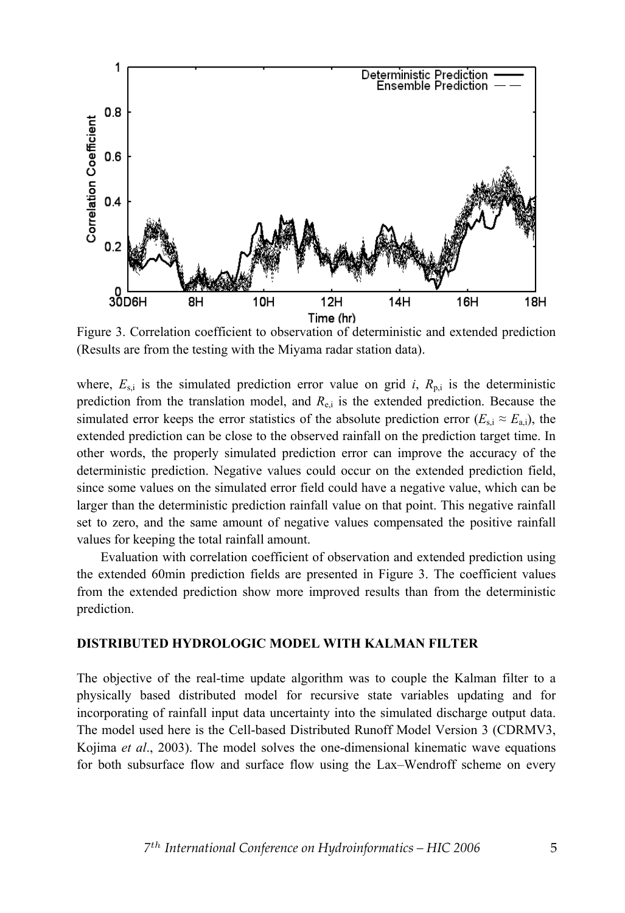

Figure 3. Correlation coefficient to observation of deterministic and extended prediction (Results are from the testing with the Miyama radar station data).

where,  $E_{si}$  is the simulated prediction error value on grid *i*,  $R_{pi}$  is the deterministic prediction from the translation model, and  $R_{e,i}$  is the extended prediction. Because the simulated error keeps the error statistics of the absolute prediction error  $(E_{s,i} \approx E_{a,i})$ , the extended prediction can be close to the observed rainfall on the prediction target time. In other words, the properly simulated prediction error can improve the accuracy of the deterministic prediction. Negative values could occur on the extended prediction field, since some values on the simulated error field could have a negative value, which can be larger than the deterministic prediction rainfall value on that point. This negative rainfall set to zero, and the same amount of negative values compensated the positive rainfall values for keeping the total rainfall amount.

Evaluation with correlation coefficient of observation and extended prediction using the extended 60min prediction fields are presented in Figure 3. The coefficient values from the extended prediction show more improved results than from the deterministic prediction.

#### **DISTRIBUTED HYDROLOGIC MODEL WITH KALMAN FILTER**

The objective of the real-time update algorithm was to couple the Kalman filter to a physically based distributed model for recursive state variables updating and for incorporating of rainfall input data uncertainty into the simulated discharge output data. The model used here is the Cell-based Distributed Runoff Model Version 3 (CDRMV3, Kojima *et al*., 2003). The model solves the one-dimensional kinematic wave equations for both subsurface flow and surface flow using the Lax–Wendroff scheme on every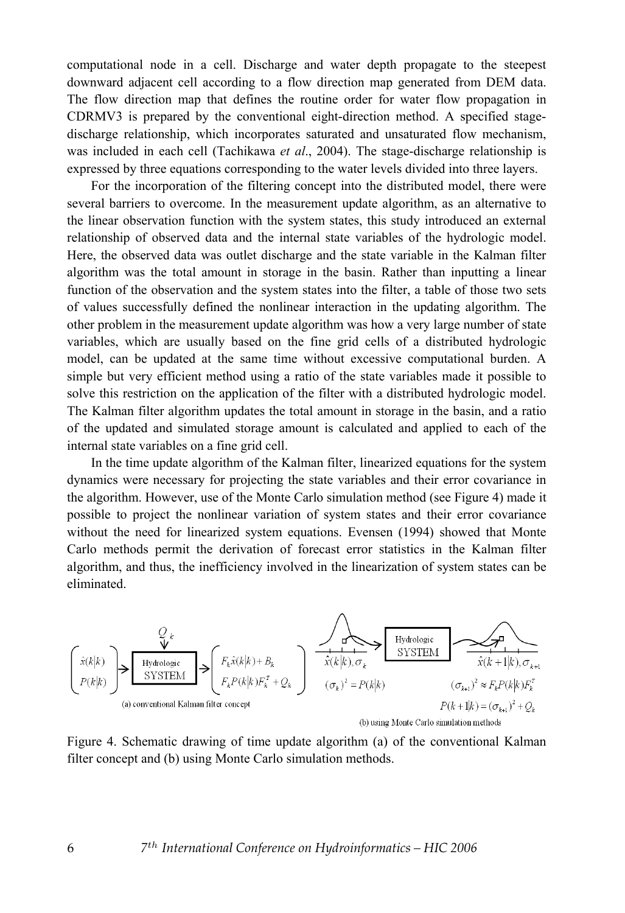computational node in a cell. Discharge and water depth propagate to the steepest downward adjacent cell according to a flow direction map generated from DEM data. The flow direction map that defines the routine order for water flow propagation in CDRMV3 is prepared by the conventional eight-direction method. A specified stagedischarge relationship, which incorporates saturated and unsaturated flow mechanism, was included in each cell (Tachikawa *et al*., 2004). The stage-discharge relationship is expressed by three equations corresponding to the water levels divided into three layers.

For the incorporation of the filtering concept into the distributed model, there were several barriers to overcome. In the measurement update algorithm, as an alternative to the linear observation function with the system states, this study introduced an external relationship of observed data and the internal state variables of the hydrologic model. Here, the observed data was outlet discharge and the state variable in the Kalman filter algorithm was the total amount in storage in the basin. Rather than inputting a linear function of the observation and the system states into the filter, a table of those two sets of values successfully defined the nonlinear interaction in the updating algorithm. The other problem in the measurement update algorithm was how a very large number of state variables, which are usually based on the fine grid cells of a distributed hydrologic model, can be updated at the same time without excessive computational burden. A simple but very efficient method using a ratio of the state variables made it possible to solve this restriction on the application of the filter with a distributed hydrologic model. The Kalman filter algorithm updates the total amount in storage in the basin, and a ratio of the updated and simulated storage amount is calculated and applied to each of the internal state variables on a fine grid cell.

In the time update algorithm of the Kalman filter, linearized equations for the system dynamics were necessary for projecting the state variables and their error covariance in the algorithm. However, use of the Monte Carlo simulation method (see Figure 4) made it possible to project the nonlinear variation of system states and their error covariance without the need for linearized system equations. Evensen (1994) showed that Monte Carlo methods permit the derivation of forecast error statistics in the Kalman filter algorithm, and thus, the inefficiency involved in the linearization of system states can be eliminated.

$$
\left(\hat{x}(k|k)\right) \sum_{(a) \text{ conventional Kalman filter concept}} \underbrace{\sum_{F_k \hat{x}(k|k)+B_k} F_k \hat{x}(k|k) + B_k}{\sum_{(F_k P(k|k)F_k^T + Q_k)} \sum_{(F_k)^2 = P(k|k)} \underbrace{\sum_{\hat{x}(k|k), \sigma_k} \text{Hydrologic}}_{\text{oisy IMOM}} \underbrace{\sum_{\hat{x}(k+1|k), \sigma_{k+1}} \text{Hydrologic}}_{\text{f(k+1|k)} = (F_{k+1})^2 + Q_k}
$$
\n
$$
\sum_{(a) \text{ conventional Kalman filter concept}} \underbrace{\sum_{F_k P(k|k)F_k^T}}_{\text{(b) using Monte Carlo simulation methods}}
$$

Figure 4. Schematic drawing of time update algorithm (a) of the conventional Kalman filter concept and (b) using Monte Carlo simulation methods.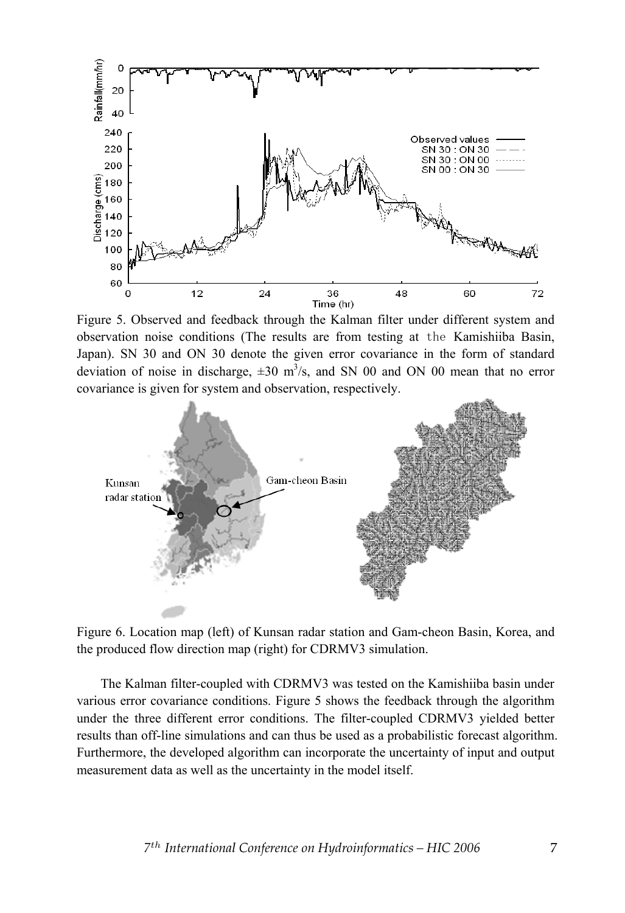

Figure 5. Observed and feedback through the Kalman filter under different system and observation noise conditions (The results are from testing at the Kamishiiba Basin, Japan). SN 30 and ON 30 denote the given error covariance in the form of standard deviation of noise in discharge,  $\pm 30$  m<sup>3</sup>/s, and SN 00 and ON 00 mean that no error covariance is given for system and observation, respectively.



Figure 6. Location map (left) of Kunsan radar station and Gam-cheon Basin, Korea, and the produced flow direction map (right) for CDRMV3 simulation.

The Kalman filter-coupled with CDRMV3 was tested on the Kamishiiba basin under various error covariance conditions. Figure 5 shows the feedback through the algorithm under the three different error conditions. The filter-coupled CDRMV3 yielded better results than off-line simulations and can thus be used as a probabilistic forecast algorithm. Furthermore, the developed algorithm can incorporate the uncertainty of input and output measurement data as well as the uncertainty in the model itself.